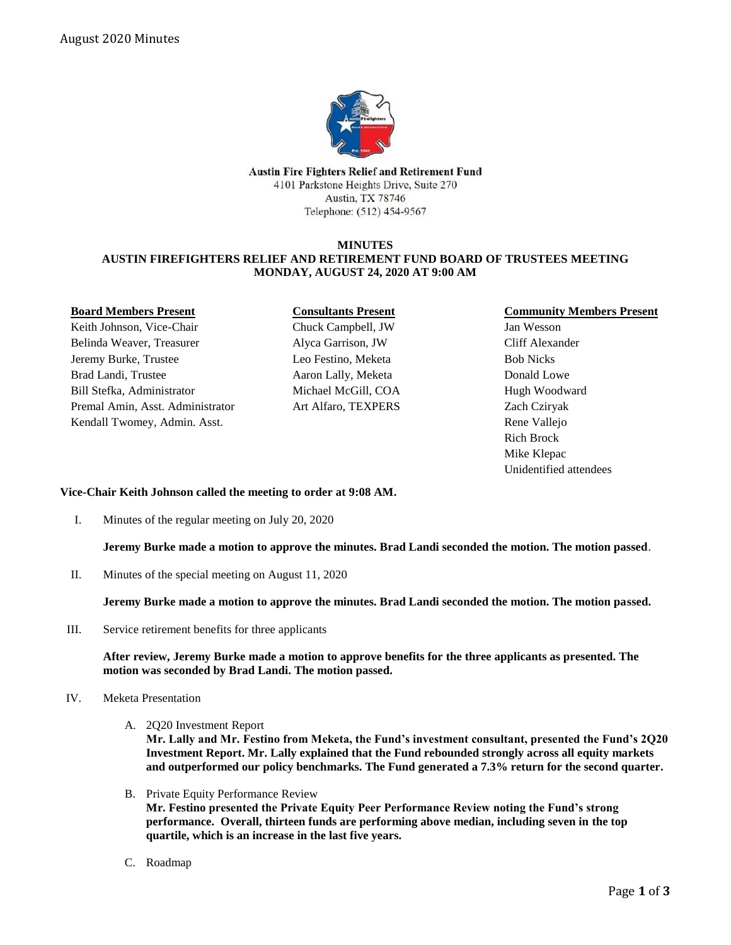

Austin Fire Fighters Relief and Retirement Fund 4101 Parkstone Heights Drive, Suite 270 Austin, TX 78746 Telephone: (512) 454-9567

#### **MINUTES AUSTIN FIREFIGHTERS RELIEF AND RETIREMENT FUND BOARD OF TRUSTEES MEETING MONDAY, AUGUST 24, 2020 AT 9:00 AM**

| <b>Board Members Present</b>     |
|----------------------------------|
| Keith Johnson, Vice-Chair        |
| Belinda Weaver, Treasurer        |
| Jeremy Burke, Trustee            |
| Brad Landi, Trustee              |
| Bill Stefka, Administrator       |
| Premal Amin, Asst. Administrator |
| Kendall Twomey, Admin. Asst.     |

# **Consultants Present**

Chuck Campbell, JW Alyca Garrison, JW Leo Festino, Meketa Aaron Lally, Meketa Michael McGill, COA Art Alfaro, TEXPERS

## **Community Members Present**

Jan Wesson Cliff Alexander Bob Nicks Donald Lowe Hugh Woodward Zach Cziryak Rene Vallejo Rich Brock Mike Klepac Unidentified attendees

## **Vice-Chair Keith Johnson called the meeting to order at 9:08 AM.**

I. Minutes of the regular meeting on July 20, 2020

**Jeremy Burke made a motion to approve the minutes. Brad Landi seconded the motion. The motion passed**.

II. Minutes of the special meeting on August 11, 2020

**Jeremy Burke made a motion to approve the minutes. Brad Landi seconded the motion. The motion passed.**

III. Service retirement benefits for three applicants

**After review, Jeremy Burke made a motion to approve benefits for the three applicants as presented. The motion was seconded by Brad Landi. The motion passed.**

- IV. Meketa Presentation
	- A. 2Q20 Investment Report

**Mr. Lally and Mr. Festino from Meketa, the Fund's investment consultant, presented the Fund's 2Q20 Investment Report. Mr. Lally explained that the Fund rebounded strongly across all equity markets and outperformed our policy benchmarks. The Fund generated a 7.3% return for the second quarter.** 

- B. Private Equity Performance Review **Mr. Festino presented the Private Equity Peer Performance Review noting the Fund's strong performance. Overall, thirteen funds are performing above median, including seven in the top quartile, which is an increase in the last five years.**
- C. Roadmap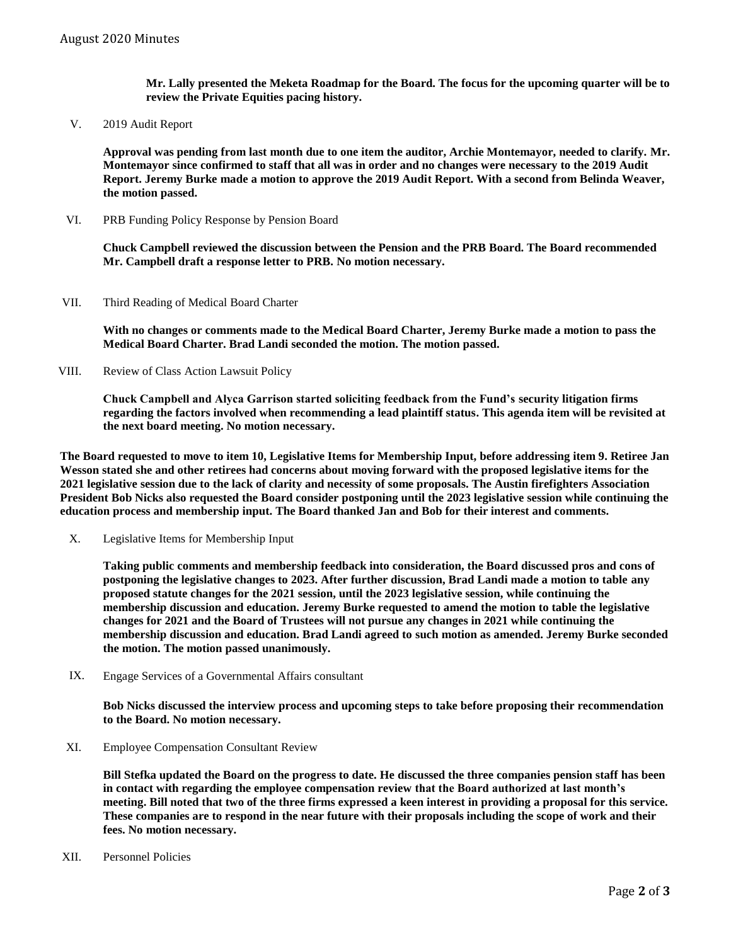**Mr. Lally presented the Meketa Roadmap for the Board. The focus for the upcoming quarter will be to review the Private Equities pacing history.**

V. 2019 Audit Report

**Approval was pending from last month due to one item the auditor, Archie Montemayor, needed to clarify. Mr. Montemayor since confirmed to staff that all was in order and no changes were necessary to the 2019 Audit Report. Jeremy Burke made a motion to approve the 2019 Audit Report. With a second from Belinda Weaver, the motion passed.** 

VI. PRB Funding Policy Response by Pension Board

**Chuck Campbell reviewed the discussion between the Pension and the PRB Board. The Board recommended Mr. Campbell draft a response letter to PRB. No motion necessary.**

VII. Third Reading of Medical Board Charter

**With no changes or comments made to the Medical Board Charter, Jeremy Burke made a motion to pass the Medical Board Charter. Brad Landi seconded the motion. The motion passed.**

VIII. Review of Class Action Lawsuit Policy

**Chuck Campbell and Alyca Garrison started soliciting feedback from the Fund's security litigation firms regarding the factors involved when recommending a lead plaintiff status. This agenda item will be revisited at the next board meeting. No motion necessary.** 

**The Board requested to move to item 10, Legislative Items for Membership Input, before addressing item 9. Retiree Jan Wesson stated she and other retirees had concerns about moving forward with the proposed legislative items for the 2021 legislative session due to the lack of clarity and necessity of some proposals. The Austin firefighters Association President Bob Nicks also requested the Board consider postponing until the 2023 legislative session while continuing the education process and membership input. The Board thanked Jan and Bob for their interest and comments.** 

Legislative Items for Membership Input X.

> **Taking public comments and membership feedback into consideration, the Board discussed pros and cons of postponing the legislative changes to 2023. After further discussion, Brad Landi made a motion to table any proposed statute changes for the 2021 session, until the 2023 legislative session, while continuing the membership discussion and education. Jeremy Burke requested to amend the motion to table the legislative changes for 2021 and the Board of Trustees will not pursue any changes in 2021 while continuing the membership discussion and education. Brad Landi agreed to such motion as amended. Jeremy Burke seconded the motion. The motion passed unanimously.**

Engage Services of a Governmental Affairs consultant IX.

> **Bob Nicks discussed the interview process and upcoming steps to take before proposing their recommendation to the Board. No motion necessary.**

XI. Employee Compensation Consultant Review

**Bill Stefka updated the Board on the progress to date. He discussed the three companies pension staff has been in contact with regarding the employee compensation review that the Board authorized at last month's meeting. Bill noted that two of the three firms expressed a keen interest in providing a proposal for this service. These companies are to respond in the near future with their proposals including the scope of work and their fees. No motion necessary.** 

XII. Personnel Policies